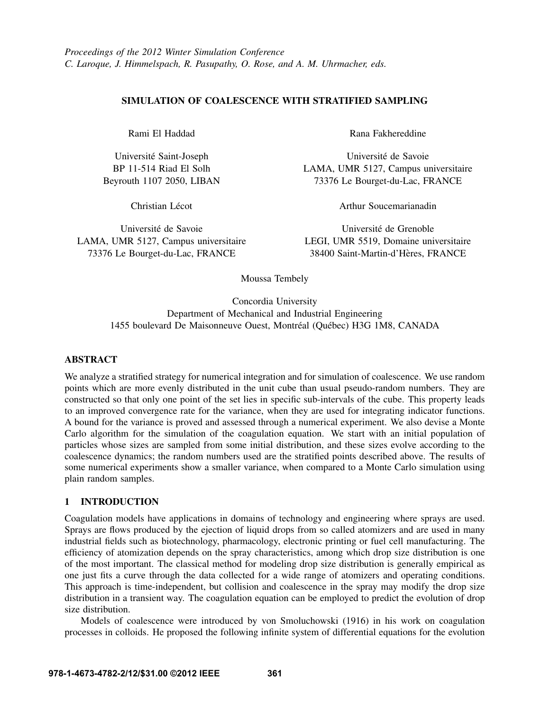## SIMULATION OF COALESCENCE WITH STRATIFIED SAMPLING

Rami El Haddad

Universite Saint-Joseph ´ BP 11-514 Riad El Solh Beyrouth 1107 2050, LIBAN

Christian Lécot

Université de Savoie LAMA, UMR 5127, Campus universitaire 73376 Le Bourget-du-Lac, FRANCE

Rana Fakhereddine

Universite de Savoie ´ LAMA, UMR 5127, Campus universitaire 73376 Le Bourget-du-Lac, FRANCE

Arthur Soucemarianadin

Université de Grenoble LEGI, UMR 5519, Domaine universitaire 38400 Saint-Martin-d'Heres, FRANCE `

Moussa Tembely

Concordia University Department of Mechanical and Industrial Engineering 1455 boulevard De Maisonneuve Ouest, Montréal (Québec) H3G 1M8, CANADA

## ABSTRACT

We analyze a stratified strategy for numerical integration and for simulation of coalescence. We use random points which are more evenly distributed in the unit cube than usual pseudo-random numbers. They are constructed so that only one point of the set lies in specific sub-intervals of the cube. This property leads to an improved convergence rate for the variance, when they are used for integrating indicator functions. A bound for the variance is proved and assessed through a numerical experiment. We also devise a Monte Carlo algorithm for the simulation of the coagulation equation. We start with an initial population of particles whose sizes are sampled from some initial distribution, and these sizes evolve according to the coalescence dynamics; the random numbers used are the stratified points described above. The results of some numerical experiments show a smaller variance, when compared to a Monte Carlo simulation using plain random samples.

# 1 INTRODUCTION

Coagulation models have applications in domains of technology and engineering where sprays are used. Sprays are flows produced by the ejection of liquid drops from so called atomizers and are used in many industrial fields such as biotechnology, pharmacology, electronic printing or fuel cell manufacturing. The efficiency of atomization depends on the spray characteristics, among which drop size distribution is one of the most important. The classical method for modeling drop size distribution is generally empirical as one just fits a curve through the data collected for a wide range of atomizers and operating conditions. This approach is time-independent, but collision and coalescence in the spray may modify the drop size distribution in a transient way. The coagulation equation can be employed to predict the evolution of drop size distribution.

Models of coalescence were introduced by von Smoluchowski (1916) in his work on coagulation processes in colloids. He proposed the following infinite system of differential equations for the evolution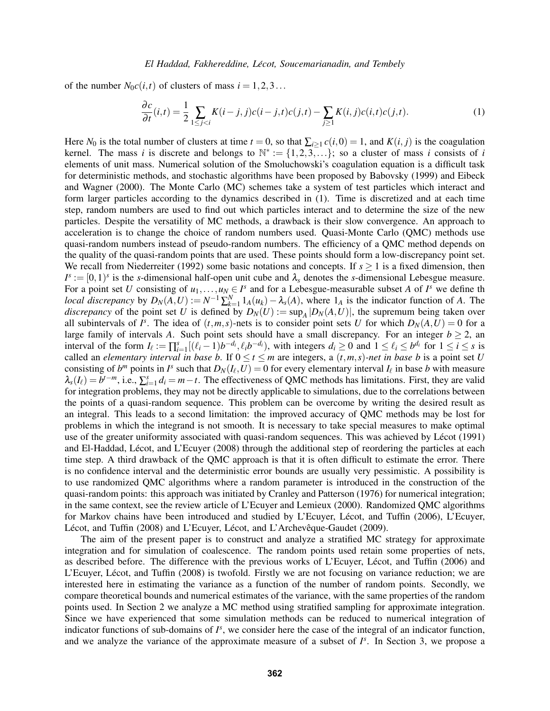of the number  $N_0c(i, t)$  of clusters of mass  $i = 1, 2, 3...$ 

$$
\frac{\partial c}{\partial t}(i,t) = \frac{1}{2} \sum_{1 \leq j < i} K(i-j,j)c(i-j,t)c(j,t) - \sum_{j \geq 1} K(i,j)c(i,t)c(j,t). \tag{1}
$$

Here  $N_0$  is the total number of clusters at time  $t = 0$ , so that  $\sum_{i \geq 1} c(i,0) = 1$ , and  $K(i, j)$  is the coagulation kernel. The mass *i* is discrete and belongs to  $\mathbb{N}^* := \{1, 2, 3, \ldots\}$ ; so a cluster of mass *i* consists of *i* elements of unit mass. Numerical solution of the Smoluchowski's coagulation equation is a difficult task for deterministic methods, and stochastic algorithms have been proposed by Babovsky (1999) and Eibeck and Wagner (2000). The Monte Carlo (MC) schemes take a system of test particles which interact and form larger particles according to the dynamics described in (1). Time is discretized and at each time step, random numbers are used to find out which particles interact and to determine the size of the new particles. Despite the versatility of MC methods, a drawback is their slow convergence. An approach to acceleration is to change the choice of random numbers used. Quasi-Monte Carlo (QMC) methods use quasi-random numbers instead of pseudo-random numbers. The efficiency of a QMC method depends on the quality of the quasi-random points that are used. These points should form a low-discrepancy point set. We recall from Niederreiter (1992) some basic notations and concepts. If  $s \geq 1$  is a fixed dimension, then  $I^s := [0,1)^s$  is the *s*-dimensional half-open unit cube and  $\lambda_s$  denotes the *s*-dimensional Lebesgue measure. For a point set *U* consisting of  $u_1, \ldots, u_N \in I^s$  and for a Lebesgue-measurable subset *A* of  $I^s$  we define the *local discrepancy* by  $D_N(A, U) := N^{-1} \sum_{k=1}^N 1_A(u_k) - \lambda_s(A)$ , where  $1_A$  is the indicator function of *A*. The *discrepancy* of the point set *U* is defined by  $D_N(U) := \sup_A |D_N(A, U)|$ , the supremum being taken over all subintervals of  $I^s$ . The idea of  $(t, m, s)$ -nets is to consider point sets *U* for which  $D_N(A, U) = 0$  for a large family of intervals *A*. Such point sets should have a small discrepancy. For an integer  $b \ge 2$ , an interval of the form  $I_{\ell} := \prod_{i=1}^{s} [(\ell_i - 1)b^{-d_i}, \ell_i b^{-d_i})$ , with integers  $d_i \ge 0$  and  $1 \le \ell_i \le b^{d_i}$  for  $1 \le i \le s$  is called an *elementary interval in base b*. If  $0 \le t \le m$  are integers, a  $(t, m, s)$ -net in base b is a point set *U* consisting of  $b^m$  points in  $I^s$  such that  $D_N(I_\ell, U) = 0$  for every elementary interval  $I_\ell$  in base  $b$  with measure  $\lambda_s(I_\ell) = b^{t-m}$ , i.e.,  $\sum_{i=1}^s d_i = m-t$ . The effectiveness of QMC methods has limitations. First, they are valid for integration problems, they may not be directly applicable to simulations, due to the correlations between the points of a quasi-random sequence. This problem can be overcome by writing the desired result as an integral. This leads to a second limitation: the improved accuracy of QMC methods may be lost for problems in which the integrand is not smooth. It is necessary to take special measures to make optimal use of the greater uniformity associated with quasi-random sequences. This was achieved by Lécot (1991) and El-Haddad, Lécot, and L'Ecuyer (2008) through the additional step of reordering the particles at each time step. A third drawback of the QMC approach is that it is often difficult to estimate the error. There is no confidence interval and the deterministic error bounds are usually very pessimistic. A possibility is to use randomized QMC algorithms where a random parameter is introduced in the construction of the quasi-random points: this approach was initiated by Cranley and Patterson (1976) for numerical integration; in the same context, see the review article of L'Ecuyer and Lemieux (2000). Randomized QMC algorithms for Markov chains have been introduced and studied by L'Ecuyer, Lécot, and Tuffin (2006), L'Ecuyer, Lécot, and Tuffin (2008) and L'Ecuyer, Lécot, and L'Archevêque-Gaudet (2009).

The aim of the present paper is to construct and analyze a stratified MC strategy for approximate integration and for simulation of coalescence. The random points used retain some properties of nets, as described before. The difference with the previous works of L'Ecuyer, Lécot, and Tuffin (2006) and L'Ecuyer, Lécot, and Tuffin (2008) is twofold. Firstly we are not focusing on variance reduction; we are interested here in estimating the variance as a function of the number of random points. Secondly, we compare theoretical bounds and numerical estimates of the variance, with the same properties of the random points used. In Section 2 we analyze a MC method using stratified sampling for approximate integration. Since we have experienced that some simulation methods can be reduced to numerical integration of indicator functions of sub-domains of  $I^s$ , we consider here the case of the integral of an indicator function, and we analyze the variance of the approximate measure of a subset of  $I<sup>s</sup>$ . In Section 3, we propose a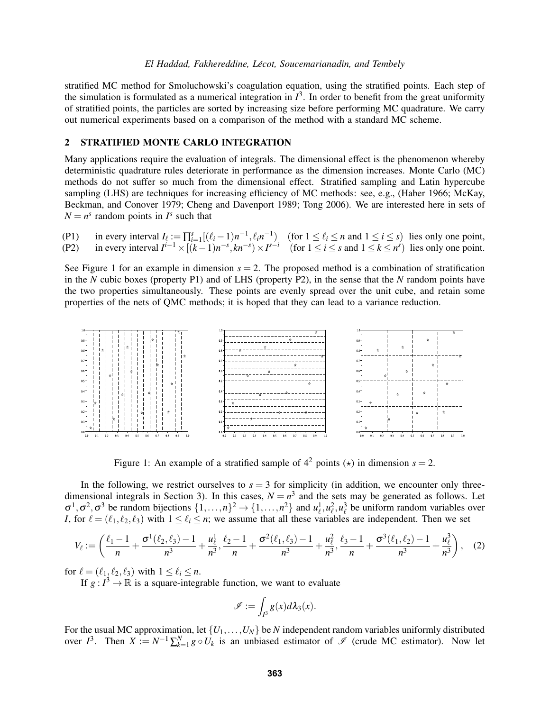#### *El Haddad, Fakhereddine, Lecot, Soucemarianadin, and Tembely ´*

stratified MC method for Smoluchowski's coagulation equation, using the stratified points. Each step of the simulation is formulated as a numerical integration in  $I^3$ . In order to benefit from the great uniformity of stratified points, the particles are sorted by increasing size before performing MC quadrature. We carry out numerical experiments based on a comparison of the method with a standard MC scheme.

#### 2 STRATIFIED MONTE CARLO INTEGRATION

Many applications require the evaluation of integrals. The dimensional effect is the phenomenon whereby deterministic quadrature rules deteriorate in performance as the dimension increases. Monte Carlo (MC) methods do not suffer so much from the dimensional effect. Stratified sampling and Latin hypercube sampling (LHS) are techniques for increasing efficiency of MC methods: see, e.g., (Haber 1966; McKay, Beckman, and Conover 1979; Cheng and Davenport 1989; Tong 2006). We are interested here in sets of  $N = n<sup>s</sup>$  random points in  $I<sup>s</sup>$  such that

|  | (P1) in every interval $I_{\ell} := \prod_{i=1}^{s} [(\ell_i - 1)n^{-1}, \ell_i n^{-1})$ (for $1 \leq \ell_i \leq n$ and $1 \leq i \leq s$ ) lies only one point, |
|--|-------------------------------------------------------------------------------------------------------------------------------------------------------------------|
|  | (P2) in every interval $I^{i-1} \times [(k-1)n^{-s}, kn^{-s}) \times I^{s-i}$ (for $1 \le i \le s$ and $1 \le k \le n^s$ ) lies only one point.                   |

See Figure 1 for an example in dimension  $s = 2$ . The proposed method is a combination of stratification in the *N* cubic boxes (property P1) and of LHS (property P2), in the sense that the *N* random points have the two properties simultaneously. These points are evenly spread over the unit cube, and retain some properties of the nets of QMC methods; it is hoped that they can lead to a variance reduction.



Figure 1: An example of a stratified sample of  $4^2$  points ( $\star$ ) in dimension  $s = 2$ .

In the following, we restrict ourselves to  $s = 3$  for simplicity (in addition, we encounter only threedimensional integrals in Section 3). In this cases,  $N = n^3$  and the sets may be generated as follows. Let  $\sigma^1, \sigma^2, \sigma^3$  be random bijections  $\{1,\ldots,n\}^2 \to \{1,\ldots,n^2\}$  and  $u_\ell^1, u_\ell^2, u_\ell^3$  be uniform random variables over *I*, for  $\ell = (\ell_1, \ell_2, \ell_3)$  with  $1 \leq \ell_i \leq n$ ; we assume that all these variables are independent. Then we set

$$
V_{\ell} := \left(\frac{\ell_1 - 1}{n} + \frac{\sigma^1(\ell_2, \ell_3) - 1}{n^3} + \frac{u_{\ell}^1}{n^3}, \frac{\ell_2 - 1}{n} + \frac{\sigma^2(\ell_1, \ell_3) - 1}{n^3} + \frac{u_{\ell}^2}{n^3}, \frac{\ell_3 - 1}{n} + \frac{\sigma^3(\ell_1, \ell_2) - 1}{n^3} + \frac{u_{\ell}^3}{n^3}\right), \quad (2)
$$

for  $\ell = (\ell_1, \ell_2, \ell_3)$  with  $1 \leq \ell_i \leq n$ .

If  $g: I^3 \to \mathbb{R}$  is a square-integrable function, we want to evaluate

$$
\mathscr{I} := \int_{I^3} g(x) d\lambda_3(x).
$$

For the usual MC approximation, let {*U*1,...,*UN*} be *N* independent random variables uniformly distributed over  $I^3$ . Then  $X := N^{-1} \sum_{k=1}^N g \circ U_k$  is an unbiased estimator of  $\mathscr I$  (crude MC estimator). Now let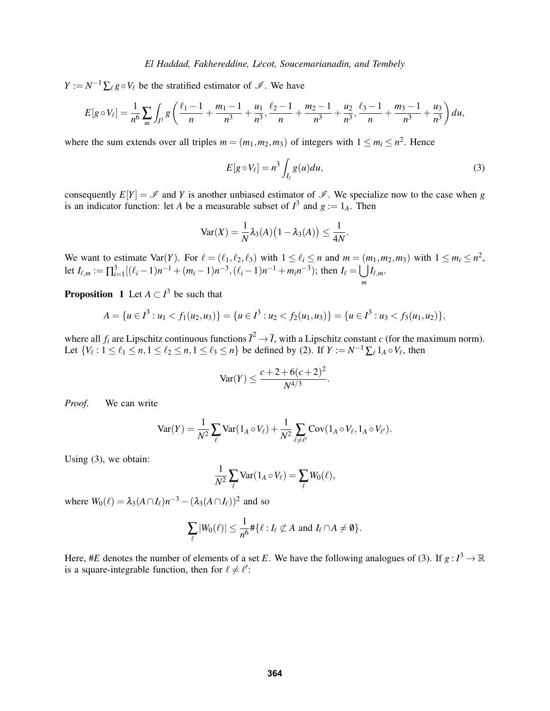$Y := N^{-1} \sum_{\ell} g \circ V_{\ell}$  be the stratified estimator of  $\mathscr{I}$ . We have

$$
E[g \circ V_{\ell}] = \frac{1}{n^6} \sum_{m} \int_{I^3} g\left(\frac{\ell_1 - 1}{n} + \frac{m_1 - 1}{n^3} + \frac{u_1}{n^3}, \frac{\ell_2 - 1}{n} + \frac{m_2 - 1}{n^3} + \frac{u_2}{n^3}, \frac{\ell_3 - 1}{n} + \frac{m_3 - 1}{n^3} + \frac{u_3}{n^3}\right) du,
$$

where the sum extends over all triples  $m = (m_1, m_2, m_3)$  of integers with  $1 \le m_i \le n^2$ . Hence

$$
E[g \circ V_{\ell}] = n^3 \int_{I_{\ell}} g(u) du,
$$
\n(3)

consequently  $E[Y] = \mathcal{I}$  and *Y* is another unbiased estimator of  $\mathcal{I}$ . We specialize now to the case when *g* is an indicator function: let *A* be a measurable subset of  $I^3$  and  $g := 1_A$ . Then

$$
\text{Var}(X) = \frac{1}{N} \lambda_3(A) (1 - \lambda_3(A)) \leq \frac{1}{4N}.
$$

We want to estimate Var(*Y*). For  $\ell = (\ell_1, \ell_2, \ell_3)$  with  $1 \leq \ell_i \leq n$  and  $m = (m_1, m_2, m_3)$  with  $1 \leq m_i \leq n^2$ , let  $I_{\ell,m} := \prod_{i=1}^{3} [(\ell_i-1)n^{-1} + (m_i-1)n^{-3}, (\ell_i-1)n^{-1} + m_i n^{-3})$ ; then  $I_{\ell} = \bigcup I_{\ell,m}$ . *m*

**Proposition** 1 Let  $A \subset I^3$  be such that

$$
A = \{u \in I^3 : u_1 < f_1(u_2, u_3)\} = \{u \in I^3 : u_2 < f_2(u_1, u_3)\} = \{u \in I^3 : u_3 < f_3(u_1, u_2)\},
$$

where all  $f_i$  are Lipschitz continuous functions  $\overline{I}^2 \to \overline{I}$ , with a Lipschitz constant *c* (for the maximum norm). Let  $\{V_\ell : 1 \leq \ell_1 \leq n, 1 \leq \ell_2 \leq n, 1 \leq \ell_3 \leq n\}$  be defined by (2). If  $Y := N^{-1} \sum_{\ell} 1_A \circ V_{\ell}$ , then

$$
\text{Var}(Y) \le \frac{c+2+6(c+2)^2}{N^{4/3}}.
$$

*Proof.* We can write

$$
\text{Var}(Y) = \frac{1}{N^2} \sum_{\ell} \text{Var}(1_A \circ V_{\ell}) + \frac{1}{N^2} \sum_{\ell \neq \ell'} \text{Cov}(1_A \circ V_{\ell}, 1_A \circ V_{\ell'}).
$$

Using (3), we obtain:

$$
\frac{1}{N^2} \sum_{\ell} \text{Var}(1_A \circ V_{\ell}) = \sum_{\ell} W_0(\ell),
$$

where  $W_0(\ell) = \lambda_3(A \cap I_{\ell})n^{-3} - (\lambda_3(A \cap I_{\ell}))^2$  and so

$$
\sum_{\ell} |W_0(\ell)| \leq \frac{1}{n^6} \# \{ \ell : I_{\ell} \not\subset A \text{ and } I_{\ell} \cap A \neq \emptyset \}.
$$

Here, #*E* denotes the number of elements of a set *E*. We have the following analogues of (3). If  $g: I^3 \to \mathbb{R}$ is a square-integrable function, then for  $\ell \neq \ell'$ :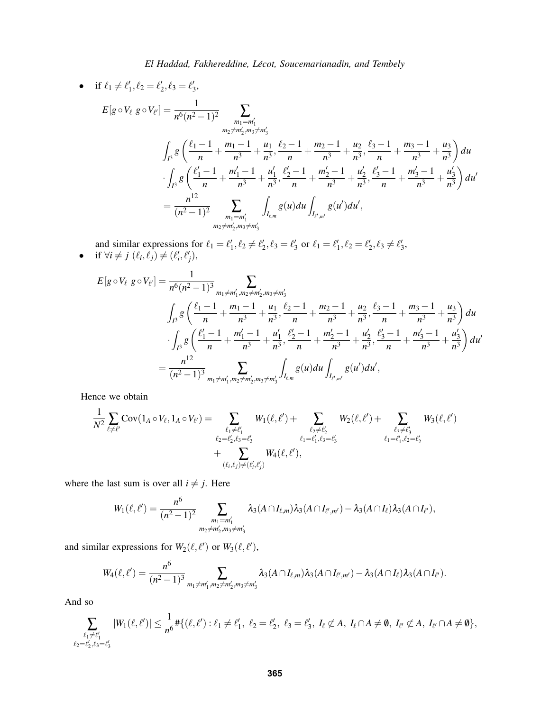•
$$
\begin{aligned}\n\text{•} \quad \text{if } \ell_1 \neq \ell'_1, \ell_2 = \ell'_2, \ell_3 = \ell'_3, \\
E[g \circ V_\ell \ g \circ V_{\ell'}] &= \frac{1}{n^6(n^2 - 1)^2} \sum_{\substack{m_1 = m'_1 \\ m_2 \neq m'_2, m_3 \neq m'_3}} \sum_{\substack{m_2 = m'_1 \\ m_3 = m_1 + n'_3, \ell_2 = 1 \\ m_3 = m_1 + n'_3}} \frac{1}{n^3} + \frac{1}{n^3} \sum_{\substack{m_1 = m'_1 \\ m_2 = m_1 + n'_3, \ell_2 = 1 \\ m_3 = m_1 + n'_2}} + \frac{1}{n^3} \sum_{\substack{m_2 = m'_1 \\ m_2 = m'_1 \\ m_2 = m'_1}} \frac{1}{n^3} + \frac{1}{n^3} \sum_{\substack{m_1 = m'_1 \\ m_2 = m'_1 \\ m_1 = m'_1}} \frac{1}{n^3} \sum_{\substack{m_1 = m'_1 \\ m_2 = m'_2, m_3 \neq m'_3}} \frac{1}{n^3} g(u) du \int_{I_{\ell', m'}} g(u') du', \\
\text{if } \ell_1 = m'_1 \text{ and } \ell_2 = m'_2, \ell_3 = m'_3} \frac{1}{n^3} + \frac{1}{n^3} \sum_{\substack{m_1 = m'_1 \\ m_2 = m'_2, m_3 \neq m'_3}} \frac{1}{n^3} g(u) du \int_{I_{\ell', m'}} g(u') du',\n\end{aligned}
$$

and similar expressions for  $\ell_1 = \ell'_1, \ell_2 \neq \ell'_2, \ell_3 = \ell'_3$  or  $\ell_1 = \ell'_1, \ell_2 = \ell'_2, \ell_3 \neq \ell'_3$ , • if  $\forall i \neq j$  ( $\ell_i, \ell_j$ )  $\neq$  ( $\ell'_i, \ell'_j$ ),

$$
E[g \circ V_{\ell} g \circ V_{\ell'}] = \frac{1}{n^6 (n^2 - 1)^3} \sum_{m_1 \neq m'_1, m_2 \neq m'_2, m_3 \neq m'_3}
$$
  

$$
\int_{I^3} g\left(\frac{\ell_1 - 1}{n} + \frac{m_1 - 1}{n^3} + \frac{u_1}{n^3}, \frac{\ell_2 - 1}{n} + \frac{m_2 - 1}{n^3} + \frac{u_2}{n^3}, \frac{\ell_3 - 1}{n} + \frac{m_3 - 1}{n^3} + \frac{u_3}{n^3}\right) du
$$
  

$$
\cdot \int_{I^3} g\left(\frac{\ell_1 - 1}{n} + \frac{m'_1 - 1}{n^3} + \frac{u'_1}{n^3}, \frac{\ell'_2 - 1}{n} + \frac{m'_2 - 1}{n^3} + \frac{u'_2}{n^3}, \frac{\ell'_3 - 1}{n} + \frac{m'_3 - 1}{n^3} + \frac{u'_3}{n^3}\right) du'
$$
  

$$
= \frac{n^{12}}{(n^2 - 1)^3} \sum_{m_1 \neq m'_1, m_2 \neq m'_2, m_3 \neq m'_3} \int_{I_{\ell,m}} g(u) du \int_{I_{\ell',m'}} g(u') du',
$$

Hence we obtain

$$
\frac{1}{N^2} \sum_{\ell \neq \ell'} \text{Cov}(1_A \circ V_{\ell}, 1_A \circ V_{\ell'}) = \sum_{\substack{\ell_1 \neq \ell'_1 \\ \ell_2 = \ell'_2, \ell_3 = \ell'_3}} W_1(\ell, \ell') + \sum_{\substack{\ell_2 \neq \ell'_2 \\ \ell_1 = \ell'_1, \ell_3 = \ell'_3}} W_2(\ell, \ell') + \sum_{\substack{\ell_3 \neq \ell'_3 \\ \ell_1 = \ell'_1, \ell_2 = \ell'_2}} W_3(\ell, \ell')
$$

where the last sum is over all  $i \neq j$ . Here

$$
W_1(\ell,\ell')=\frac{n^6}{(n^2-1)^2}\sum_{\substack{m_1=m'_1\\m_2\neq m'_2,m_3\neq m'_3}}\lambda_3(A\cap I_{\ell,m})\lambda_3(A\cap I_{\ell',m'})-\lambda_3(A\cap I_{\ell})\lambda_3(A\cap I_{\ell'}),
$$

and similar expressions for  $W_2(\ell, \ell')$  or  $W_3(\ell, \ell'),$ 

6

$$
W_4(\ell,\ell') = \frac{n^6}{(n^2-1)^3} \sum_{m_1 \neq m'_1, m_2 \neq m'_2, m_3 \neq m'_3} \lambda_3(A \cap I_{\ell,m}) \lambda_3(A \cap I_{\ell',m'}) - \lambda_3(A \cap I_{\ell}) \lambda_3(A \cap I_{\ell'}).
$$

And so

$$
\sum_{\substack{\ell_1 \neq \ell'_1 \\ \ell_2 = \ell'_2, \ell_3 = \ell'_3}} |W_1(\ell, \ell')| \leq \frac{1}{n^6} \# \{ (\ell, \ell') : \ell_1 \neq \ell'_1, \ \ell_2 = \ell'_2, \ \ell_3 = \ell'_3, \ I_\ell \not\subset A, \ I_\ell \cap A \neq \emptyset, \ I_{\ell'} \not\subset A, \ I_{\ell'} \cap A \neq \emptyset \},
$$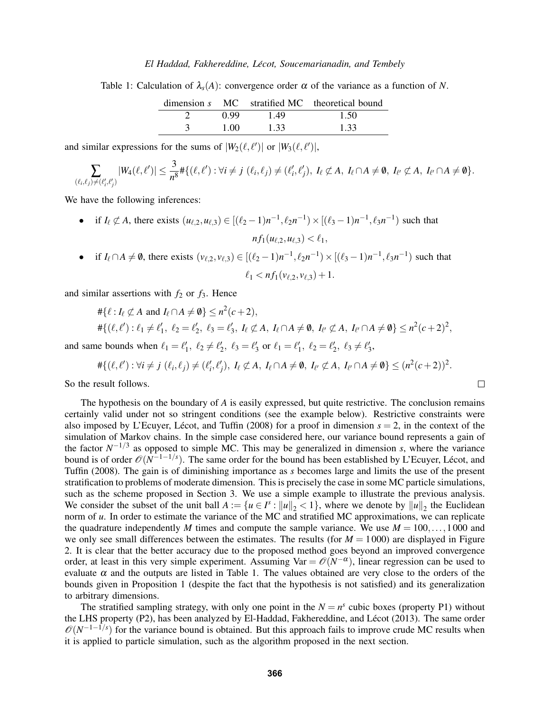#### *El Haddad, Fakhereddine, Lecot, Soucemarianadin, and Tembely ´*

Table 1: Calculation of  $\lambda_s(A)$ : convergence order  $\alpha$  of the variance as a function of *N*.

|      |      | dimension s MC stratified MC theoretical bound |
|------|------|------------------------------------------------|
| 0.99 | 1.49 | 1.50                                           |
| 1.00 | 1.33 | 1.33                                           |

and similar expressions for the sums of  $|W_2(\ell, \ell')|$  or  $|W_3(\ell, \ell')|$ ,

$$
\sum_{(\ell_i,\ell_j)\neq (\ell'_i,\ell'_j)}|W_4(\ell,\ell')|\leq \frac{3}{n^8}\#\{(\ell,\ell'): \forall i\neq j\ (\ell_i,\ell_j)\neq (\ell'_i,\ell'_j),\ I_\ell\not\subset A,\ I_\ell\cap A\neq\emptyset,\ I_{\ell'}\not\subset A,\ I_{\ell'}\cap A\neq\emptyset\}.
$$

We have the following inferences:

• if  $I_\ell \not\subset A$ , there exists  $(u_{\ell,2}, u_{\ell,3}) \in [(\ell_2 - 1)n^{-1}, \ell_2 n^{-1}) \times [(\ell_3 - 1)n^{-1}, \ell_3 n^{-1})$  such that  $nf_1(u_{\ell,2},u_{\ell,3}) < \ell_1$ , • if  $I_\ell \cap A \neq \emptyset$ , there exists  $(v_{\ell,2}, v_{\ell,3}) \in [(\ell_2 - 1)n^{-1}, \ell_2 n^{-1}) \times [(\ell_3 - 1)n^{-1}, \ell_3 n^{-1})$  such that

$$
\ell_1 < nf_1(v_{\ell,2}, v_{\ell,3}) + 1.
$$

and similar assertions with  $f_2$  or  $f_3$ . Hence

$$
\begin{aligned} &\#\{\ell: I_{\ell} \not\subset A \text{ and } I_{\ell} \cap A \neq \emptyset\} \leq n^2(c+2), \\ &\#\{(\ell,\ell'): \ell_1 \neq \ell'_1, \ \ell_2 = \ell'_2, \ \ell_3 = \ell'_3, \ I_{\ell} \not\subset A, \ I_{\ell} \cap A \neq \emptyset, \ I_{\ell'} \not\subset A, \ I_{\ell'} \cap A \neq \emptyset\} \leq n^2(c+2)^2, \end{aligned}
$$

and same bounds when  $\ell_1 = \ell'_1$ ,  $\ell_2 \neq \ell'_2$ ,  $\ell_3 = \ell'_3$  or  $\ell_1 = \ell'_1$ ,  $\ell_2 = \ell'_2$ ,  $\ell_3 \neq \ell'_3$ ,

$$
\#\{(\ell,\ell') : \forall i \neq j \ (\ell_i,\ell_j) \neq (\ell'_i,\ell'_j), \ I_\ell \not\subset A, \ I_\ell \cap A \neq \emptyset, \ I_{\ell'} \not\subset A, \ I_{\ell'} \cap A \neq \emptyset\} \leq (n^2(c+2))^2.
$$

 $\Box$ 

So the result follows.

The hypothesis on the boundary of *A* is easily expressed, but quite restrictive. The conclusion remains certainly valid under not so stringent conditions (see the example below). Restrictive constraints were also imposed by L'Ecuyer, Lécot, and Tuffin (2008) for a proof in dimension  $s = 2$ , in the context of the simulation of Markov chains. In the simple case considered here, our variance bound represents a gain of the factor  $N^{-1/3}$  as opposed to simple MC. This may be generalized in dimension *s*, where the variance bound is of order  $\mathcal{O}(N^{-1-1/s})$ . The same order for the bound has been established by L'Ecuyer, Lécot, and Tuffin (2008). The gain is of diminishing importance as *s* becomes large and limits the use of the present stratification to problems of moderate dimension. This is precisely the case in some MC particle simulations, such as the scheme proposed in Section 3. We use a simple example to illustrate the previous analysis. We consider the subset of the unit ball  $A := \{u \in I^s : ||u||_2 < 1\}$ , where we denote by  $||u||_2$  the Euclidean norm of *u*. In order to estimate the variance of the MC and stratified MC approximations, we can replicate the quadrature independently *M* times and compute the sample variance. We use  $M = 100, \ldots, 1000$  and we only see small differences between the estimates. The results (for  $M = 1000$ ) are displayed in Figure 2. It is clear that the better accuracy due to the proposed method goes beyond an improved convergence order, at least in this very simple experiment. Assuming Var =  $\mathcal{O}(N^{-\alpha})$ , linear regression can be used to evaluate  $\alpha$  and the outputs are listed in Table 1. The values obtained are very close to the orders of the bounds given in Proposition 1 (despite the fact that the hypothesis is not satisfied) and its generalization to arbitrary dimensions.

The stratified sampling strategy, with only one point in the  $N = n<sup>s</sup>$  cubic boxes (property P1) without the LHS property (P2), has been analyzed by El-Haddad, Fakhereddine, and Lécot (2013). The same order  $\mathcal{O}(N^{-1-\frac{1}{s}})$  for the variance bound is obtained. But this approach fails to improve crude MC results when it is applied to particle simulation, such as the algorithm proposed in the next section.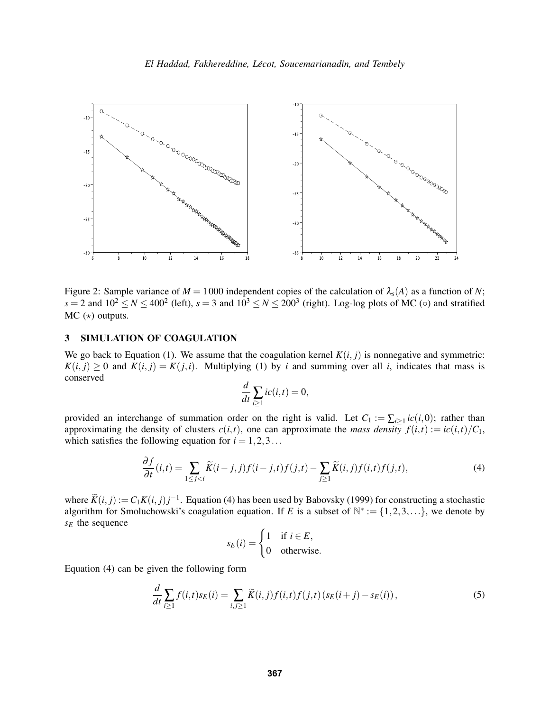

Figure 2: Sample variance of  $M = 1000$  independent copies of the calculation of  $\lambda_s(A)$  as a function of *N*;  $s = 2$  and  $10^2 \le N \le 400^2$  (left),  $s = 3$  and  $10^3 \le N \le 200^3$  (right). Log-log plots of MC (◦) and stratified  $MC$  ( $\star$ ) outputs.

### 3 SIMULATION OF COAGULATION

We go back to Equation (1). We assume that the coagulation kernel  $K(i, j)$  is nonnegative and symmetric:  $K(i, j) \geq 0$  and  $K(i, j) = K(j, i)$ . Multiplying (1) by *i* and summing over all *i*, indicates that mass is conserved

$$
\frac{d}{dt}\sum_{i\geq 1}ic(i,t)=0,
$$

provided an interchange of summation order on the right is valid. Let  $C_1 := \sum_{i \geq 1} i c(i,0)$ ; rather than approximating the density of clusters  $c(i, t)$ , one can approximate the *mass density*  $f(i, t) := ic(i, t)/C_1$ , which satisfies the following equation for  $i = 1, 2, 3...$ 

$$
\frac{\partial f}{\partial t}(i,t) = \sum_{1 \le j < i} \widetilde{K}(i-j,j)f(i-j,t)f(j,t) - \sum_{j \ge 1} \widetilde{K}(i,j)f(i,t)f(j,t),\tag{4}
$$

where  $\widetilde{K}(i, j) := C_1 K(i, j) j^{-1}$ . Equation (4) has been used by Babovsky (1999) for constructing a stochastic algorithm for Smoluchowski's coagulation equation. If *E* is a subset of  $\mathbb{N}^* := \{1, 2, 3, ...\}$ , we denote by *s<sup>E</sup>* the sequence

$$
s_E(i) = \begin{cases} 1 & \text{if } i \in E, \\ 0 & \text{otherwise.} \end{cases}
$$

Equation (4) can be given the following form

$$
\frac{d}{dt}\sum_{i\geq 1}f(i,t)s_E(i) = \sum_{i,j\geq 1}\widetilde{K}(i,j)f(i,t)f(j,t)\left(s_E(i+j) - s_E(i)\right),\tag{5}
$$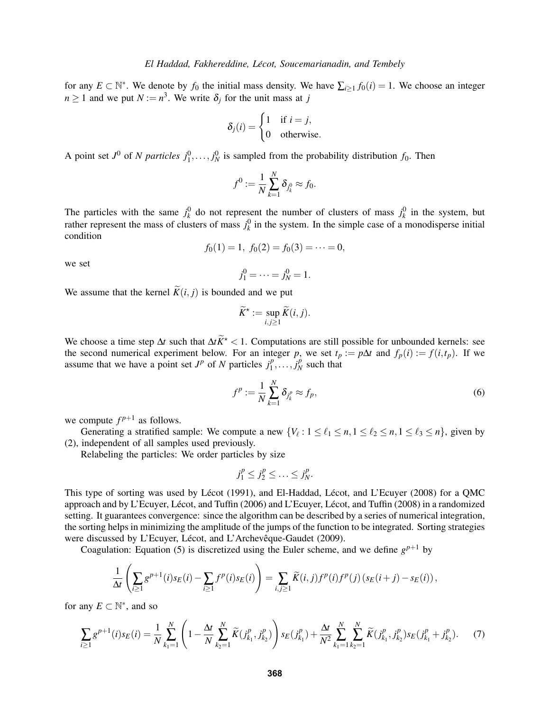for any  $E \subset \mathbb{N}^*$ . We denote by  $f_0$  the initial mass density. We have  $\sum_{i \geq 1} f_0(i) = 1$ . We choose an integer  $n \geq 1$  and we put  $N := n^3$ . We write  $\delta_j$  for the unit mass at *j* 

$$
\delta_j(i) = \begin{cases} 1 & \text{if } i = j, \\ 0 & \text{otherwise.} \end{cases}
$$

A point set  $J^0$  of *N particles*  $j_1^0, \ldots, j_N^0$  is sampled from the probability distribution  $f_0$ . Then

$$
f^0 := \frac{1}{N} \sum_{k=1}^N \delta_{j_k^0} \approx f_0.
$$

The particles with the same  $j_k^0$  do not represent the number of clusters of mass  $j_k^0$  in the system, but rather represent the mass of clusters of mass  $j_k^0$  in the system. In the simple case of a monodisperse initial condition

$$
f_0(1) = 1
$$
,  $f_0(2) = f_0(3) = \cdots = 0$ ,

we set

 $j_1^0 = \cdots = j_N^0 = 1.$ 

We assume that the kernel  $\widetilde{K}(i, j)$  is bounded and we put

$$
\widetilde{K}^* := \sup_{i,j \geq 1} \widetilde{K}(i,j).
$$

We choose a time step  $\Delta t$  such that  $\Delta t \tilde{K}^*$  < 1. Computations are still possible for unbounded kernels: see the second numerical experiment below. For an integer *p*, we set  $t_p := p\Delta t$  and  $f_p(i) := f(i, t_p)$ . If we assume that we have a point set  $J^p$  of *N* particles  $j_1^p$  $\overline{p}_1^p, \ldots, \overline{j}_N^p$  $N<sup>p</sup>$  such that

$$
f^p := \frac{1}{N} \sum_{k=1}^N \delta_{j_k^p} \approx f_p,\tag{6}
$$

we compute  $f^{p+1}$  as follows.

Generating a stratified sample: We compute a new  $\{V_\ell : 1 \leq \ell_1 \leq n, 1 \leq \ell_2 \leq n, 1 \leq \ell_3 \leq n\}$ , given by (2), independent of all samples used previously.

Relabeling the particles: We order particles by size

$$
j_1^p \le j_2^p \le \ldots \le j_N^p.
$$

This type of sorting was used by Lécot (1991), and El-Haddad, Lécot, and L'Ecuyer (2008) for a QMC approach and by L'Ecuyer, Lécot, and Tuffin (2006) and L'Ecuyer, Lécot, and Tuffin (2008) in a randomized setting. It guarantees convergence: since the algorithm can be described by a series of numerical integration, the sorting helps in minimizing the amplitude of the jumps of the function to be integrated. Sorting strategies were discussed by L'Ecuyer, Lécot, and L'Archevêque-Gaudet (2009).

Coagulation: Equation (5) is discretized using the Euler scheme, and we define  $g^{p+1}$  by

$$
\frac{1}{\Delta t}\left(\sum_{i\geq 1}g^{p+1}(i)s_E(i)-\sum_{i\geq 1}f^p(i)s_E(i)\right)=\sum_{i,j\geq 1}\widetilde{K}(i,j)f^p(i)f^p(j)\left(s_E(i+j)-s_E(i)\right),
$$

for any  $E \subset \mathbb{N}^*$ , and so

$$
\sum_{i\geq 1} g^{p+1}(i) s_E(i) = \frac{1}{N} \sum_{k_1=1}^N \left( 1 - \frac{\Delta t}{N} \sum_{k_2=1}^N \widetilde{K}(j_{k_1}^p, j_{k_2}^p) \right) s_E(j_{k_1}^p) + \frac{\Delta t}{N^2} \sum_{k_1=1}^N \sum_{k_2=1}^N \widetilde{K}(j_{k_1}^p, j_{k_2}^p) s_E(j_{k_1}^p + j_{k_2}^p). \tag{7}
$$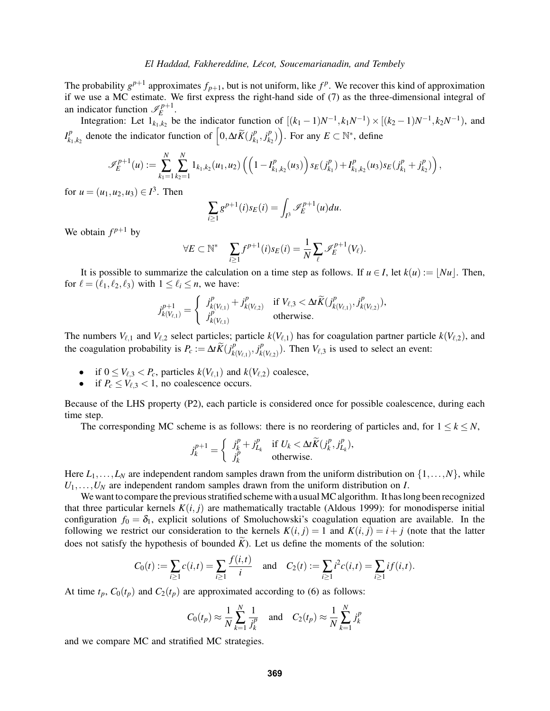The probability  $g^{p+1}$  approximates  $f_{p+1}$ , but is not uniform, like  $f^p$ . We recover this kind of approximation if we use a MC estimate. We first express the right-hand side of (7) as the three-dimensional integral of an indicator function  $\mathcal{I}_E^{p+1}$ *E* .

Integration: Let  $1_{k_1,k_2}$  be the indicator function of  $[(k_1 - 1)N^{-1}, k_1N^{-1}) \times [(k_2 - 1)N^{-1}, k_2N^{-1})$ , and  $I_k^p$  $\int_{k_1,k_2}^p$  denote the indicator function of  $\left[0,\Delta t\widetilde{K}(j_k^p)\right]$  $_{k_{1}}^{p},j_{k_{2}}^{p}$  $\binom{p}{k_2}$ . For any  $E \subset \mathbb{N}^*$ , define

$$
\mathscr{I}_E^{p+1}(u) := \sum_{k_1=1}^N \sum_{k_2=1}^N \mathbb{1}_{k_1,k_2}(u_1,u_2) \left( \left(1 - I_{k_1,k_2}^p(u_3)\right) s_E(j_{k_1}^p) + I_{k_1,k_2}^p(u_3) s_E(j_{k_1}^p + j_{k_2}^p) \right),
$$

for  $u = (u_1, u_2, u_3) \in I^3$ . Then

$$
\sum_{i\geq 1} g^{p+1}(i) s_E(i) = \int_{I^3} \mathcal{I}_E^{p+1}(u) du.
$$

We obtain  $f^{p+1}$  by

$$
\forall E \subset \mathbb{N}^* \quad \sum_{i \geq 1} f^{p+1}(i) s_E(i) = \frac{1}{N} \sum_{\ell} \mathscr{I}_E^{p+1}(V_{\ell}).
$$

It is possible to summarize the calculation on a time step as follows. If  $u \in I$ , let  $k(u) := |Nu|$ . Then, for  $\ell = (\ell_1, \ell_2, \ell_3)$  with  $1 \leq \ell_i \leq n$ , we have:

$$
j_{k(V_{\ell,1})}^{p+1} = \begin{cases} j_{k(V_{\ell,1})}^p + j_{k(V_{\ell,2})}^p & \text{if } V_{\ell,3} < \Delta t \widetilde{K}(j_{k(V_{\ell,1})}^p, j_{k(V_{\ell,2})}^p), \\ j_{k(V_{\ell,1})}^p & \text{otherwise.} \end{cases}
$$

The numbers  $V_{\ell,1}$  and  $V_{\ell,2}$  select particles; particle  $k(V_{\ell,1})$  has for coagulation partner particle  $k(V_{\ell,2})$ , and the coagulation probability is  $P_c := \Delta t \widetilde{K}(j_k^p)$  $_{k(V_{\ell,1})}^p, j_{k}^p$  $\binom{p}{k(V_{\ell,2})}$ . Then  $V_{\ell,3}$  is used to select an event:

- if  $0 \leq V_{\ell,3} < P_c$ , particles  $k(V_{\ell,1})$  and  $k(V_{\ell,2})$  coalesce,
- if  $P_c \leq V_{\ell,3} < 1$ , no coalescence occurs.

Because of the LHS property (P2), each particle is considered once for possible coalescence, during each time step.

The corresponding MC scheme is as follows: there is no reordering of particles and, for  $1 \leq k \leq N$ ,

$$
j_k^{p+1} = \begin{cases} j_k^p + j_{L_k}^p & \text{if } U_k < \Delta t \widetilde{K}(j_k^p, j_{L_k}^p), \\ j_k^p & \text{otherwise.} \end{cases}
$$

Here  $L_1, \ldots, L_N$  are independent random samples drawn from the uniform distribution on  $\{1, \ldots, N\}$ , while  $U_1, \ldots, U_N$  are independent random samples drawn from the uniform distribution on *I*.

We want to compare the previous stratified scheme with a usual MC algorithm. It has long been recognized that three particular kernels  $K(i, j)$  are mathematically tractable (Aldous 1999): for monodisperse initial configuration  $f_0 = \delta_1$ , explicit solutions of Smoluchowski's coagulation equation are available. In the following we restrict our consideration to the kernels  $K(i, j) = 1$  and  $K(i, j) = i + j$  (note that the latter does not satisfy the hypothesis of bounded  $\tilde{K}$ ). Let us define the moments of the solution:

$$
C_0(t) := \sum_{i \ge 1} c(i,t) = \sum_{i \ge 1} \frac{f(i,t)}{i} \quad \text{and} \quad C_2(t) := \sum_{i \ge 1} i^2 c(i,t) = \sum_{i \ge 1} if(i,t).
$$

At time  $t_p$ ,  $C_0(t_p)$  and  $C_2(t_p)$  are approximated according to (6) as follows:

$$
C_0(t_p) \approx \frac{1}{N} \sum_{k=1}^{N} \frac{1}{j_k^p}
$$
 and  $C_2(t_p) \approx \frac{1}{N} \sum_{k=1}^{N} j_k^p$ 

and we compare MC and stratified MC strategies.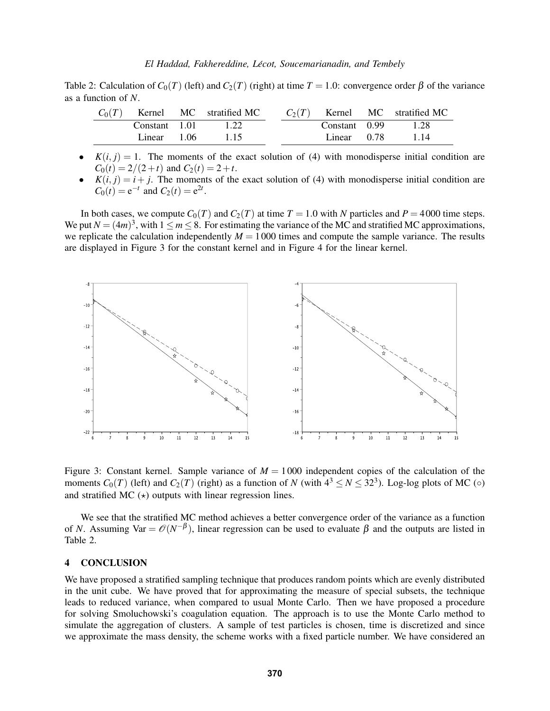Table 2: Calculation of  $C_0(T)$  (left) and  $C_2(T)$  (right) at time  $T = 1.0$ : convergence order  $\beta$  of the variance as a function of *N*.

|               | $C_0(T)$ Kernel MC stratified MC |  |               | $C_2(T)$ Kernel MC stratified MC |
|---------------|----------------------------------|--|---------------|----------------------------------|
| Constant 1.01 | 1.22                             |  | Constant 0.99 | 1.28                             |
| Linear 1.06   | 115                              |  | Linear 0.78   | 1.14                             |

- $K(i, j) = 1$ . The moments of the exact solution of (4) with monodisperse initial condition are  $C_0(t) = 2/(2+t)$  and  $C_2(t) = 2+t$ .
- $K(i, j) = i + j$ . The moments of the exact solution of (4) with monodisperse initial condition are  $C_0(t) = e^{-t}$  and  $C_2(t) = e^{2t}$ .

In both cases, we compute  $C_0(T)$  and  $C_2(T)$  at time  $T = 1.0$  with *N* particles and  $P = 4000$  time steps. We put  $N = (4m)^3$ , with  $1 \le m \le 8$ . For estimating the variance of the MC and stratified MC approximations, we replicate the calculation independently  $M = 1000$  times and compute the sample variance. The results are displayed in Figure 3 for the constant kernel and in Figure 4 for the linear kernel.



Figure 3: Constant kernel. Sample variance of  $M = 1000$  independent copies of the calculation of the moments  $C_0(T)$  (left) and  $C_2(T)$  (right) as a function of *N* (with  $4^3 \le N \le 32^3$ ). Log-log plots of MC (◦) and stratified MC  $(*)$  outputs with linear regression lines.

We see that the stratified MC method achieves a better convergence order of the variance as a function of *N*. Assuming Var =  $\mathcal{O}(N^{-\beta})$ , linear regression can be used to evaluate  $\beta$  and the outputs are listed in Table 2.

### 4 CONCLUSION

We have proposed a stratified sampling technique that produces random points which are evenly distributed in the unit cube. We have proved that for approximating the measure of special subsets, the technique leads to reduced variance, when compared to usual Monte Carlo. Then we have proposed a procedure for solving Smoluchowski's coagulation equation. The approach is to use the Monte Carlo method to simulate the aggregation of clusters. A sample of test particles is chosen, time is discretized and since we approximate the mass density, the scheme works with a fixed particle number. We have considered an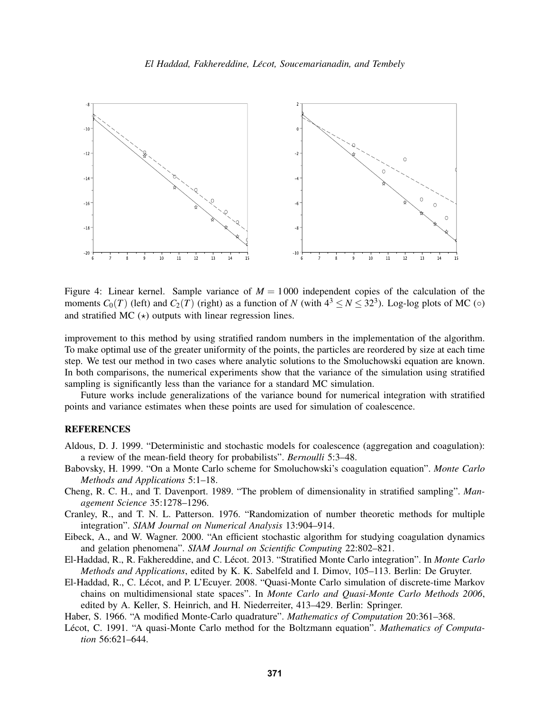

Figure 4: Linear kernel. Sample variance of  $M = 1000$  independent copies of the calculation of the moments  $C_0(T)$  (left) and  $C_2(T)$  (right) as a function of *N* (with  $4^3 \le N \le 32^3$ ). Log-log plots of MC (◦) and stratified MC  $(*)$  outputs with linear regression lines.

improvement to this method by using stratified random numbers in the implementation of the algorithm. To make optimal use of the greater uniformity of the points, the particles are reordered by size at each time step. We test our method in two cases where analytic solutions to the Smoluchowski equation are known. In both comparisons, the numerical experiments show that the variance of the simulation using stratified sampling is significantly less than the variance for a standard MC simulation.

Future works include generalizations of the variance bound for numerical integration with stratified points and variance estimates when these points are used for simulation of coalescence.

# **REFERENCES**

- Aldous, D. J. 1999. "Deterministic and stochastic models for coalescence (aggregation and coagulation): a review of the mean-field theory for probabilists". *Bernoulli* 5:3–48.
- Babovsky, H. 1999. "On a Monte Carlo scheme for Smoluchowski's coagulation equation". *Monte Carlo Methods and Applications* 5:1–18.
- Cheng, R. C. H., and T. Davenport. 1989. "The problem of dimensionality in stratified sampling". *Management Science* 35:1278–1296.
- Cranley, R., and T. N. L. Patterson. 1976. "Randomization of number theoretic methods for multiple integration". *SIAM Journal on Numerical Analysis* 13:904–914.
- Eibeck, A., and W. Wagner. 2000. "An efficient stochastic algorithm for studying coagulation dynamics and gelation phenomena". *SIAM Journal on Scientific Computing* 22:802–821.
- El-Haddad, R., R. Fakhereddine, and C. Lécot. 2013. "Stratified Monte Carlo integration". In *Monte Carlo Methods and Applications*, edited by K. K. Sabelfeld and I. Dimov, 105–113. Berlin: De Gruyter.
- El-Haddad, R., C. Lecot, and P. L'Ecuyer. 2008. "Quasi-Monte Carlo simulation of discrete-time Markov ´ chains on multidimensional state spaces". In *Monte Carlo and Quasi-Monte Carlo Methods 2006*, edited by A. Keller, S. Heinrich, and H. Niederreiter, 413–429. Berlin: Springer.
- Haber, S. 1966. "A modified Monte-Carlo quadrature". *Mathematics of Computation* 20:361–368.
- Lécot, C. 1991. "A quasi-Monte Carlo method for the Boltzmann equation". *Mathematics of Computation* 56:621–644.